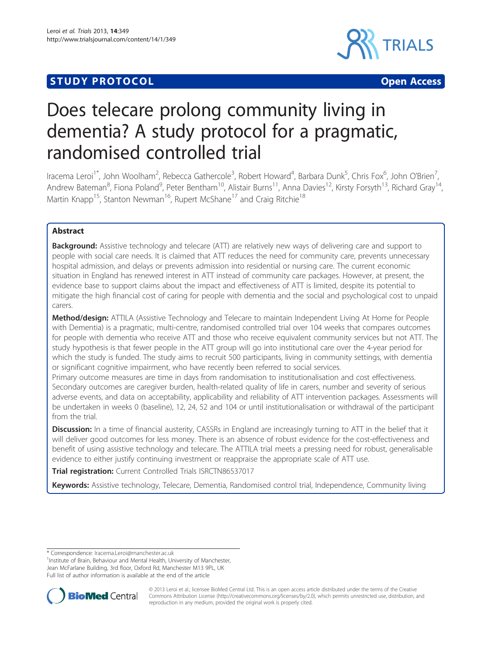# **STUDY PROTOCOL CONSUMING THE CONSUMING OPEN ACCESS**



# Does telecare prolong community living in dementia? A study protocol for a pragmatic, randomised controlled trial

Iracema Leroi<sup>1\*</sup>, John Woolham<sup>2</sup>, Rebecca Gathercole<sup>3</sup>, Robert Howard<sup>4</sup>, Barbara Dunk<sup>5</sup>, Chris Fox<sup>6</sup>, John O'Brien<sup>7</sup> , Andrew Bateman<sup>8</sup>, Fiona Poland<sup>9</sup>, Peter Bentham<sup>10</sup>, Alistair Burns<sup>11</sup>, Anna Davies<sup>12</sup>, Kirsty Forsyth<sup>13</sup>, Richard Gray<sup>14</sup>, Martin Knapp<sup>15</sup>, Stanton Newman<sup>16</sup>, Rupert McShane<sup>17</sup> and Craig Ritchie<sup>18</sup>

# Abstract

**Background:** Assistive technology and telecare (ATT) are relatively new ways of delivering care and support to people with social care needs. It is claimed that ATT reduces the need for community care, prevents unnecessary hospital admission, and delays or prevents admission into residential or nursing care. The current economic situation in England has renewed interest in ATT instead of community care packages. However, at present, the evidence base to support claims about the impact and effectiveness of ATT is limited, despite its potential to mitigate the high financial cost of caring for people with dementia and the social and psychological cost to unpaid carers.

Method/design: ATTILA (Assistive Technology and Telecare to maintain Independent Living At Home for People with Dementia) is a pragmatic, multi-centre, randomised controlled trial over 104 weeks that compares outcomes for people with dementia who receive ATT and those who receive equivalent community services but not ATT. The study hypothesis is that fewer people in the ATT group will go into institutional care over the 4-year period for which the study is funded. The study aims to recruit 500 participants, living in community settings, with dementia or significant cognitive impairment, who have recently been referred to social services.

Primary outcome measures are time in days from randomisation to institutionalisation and cost effectiveness. Secondary outcomes are caregiver burden, health-related quality of life in carers, number and severity of serious adverse events, and data on acceptability, applicability and reliability of ATT intervention packages. Assessments will be undertaken in weeks 0 (baseline), 12, 24, 52 and 104 or until institutionalisation or withdrawal of the participant from the trial.

**Discussion:** In a time of financial austerity, CASSRs in England are increasingly turning to ATT in the belief that it will deliver good outcomes for less money. There is an absence of robust evidence for the cost-effectiveness and benefit of using assistive technology and telecare. The ATTILA trial meets a pressing need for robust, generalisable evidence to either justify continuing investment or reappraise the appropriate scale of ATT use.

Trial registration: Current Controlled Trials [ISRCTN86537017](http://www.controlled-trials.com/ISRCTN86537017)

Keywords: Assistive technology, Telecare, Dementia, Randomised control trial, Independence, Community living

<sup>&</sup>lt;sup>1</sup>Institute of Brain, Behaviour and Mental Health, University of Manchester, Jean McFarlane Building, 3rd floor, Oxford Rd, Manchester M13 9PL, UK Full list of author information is available at the end of the article



© 2013 Leroi et al.; licensee BioMed Central Ltd. This is an open access article distributed under the terms of the Creative Commons Attribution License [\(http://creativecommons.org/licenses/by/2.0\)](http://creativecommons.org/licenses/by/2.0), which permits unrestricted use, distribution, and reproduction in any medium, provided the original work is properly cited.

<sup>\*</sup> Correspondence: [Iracema.Leroi@manchester.ac.uk](mailto:Iracema.Leroi@manchester.ac.uk) <sup>1</sup>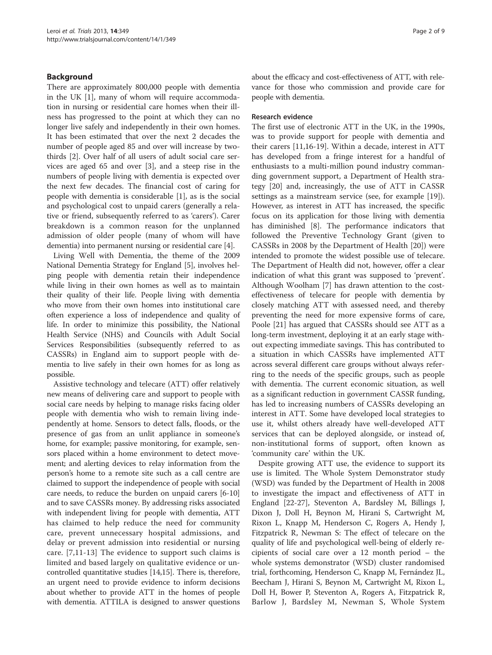## Background

There are approximately 800,000 people with dementia in the UK [[1](#page-7-0)], many of whom will require accommodation in nursing or residential care homes when their illness has progressed to the point at which they can no longer live safely and independently in their own homes. It has been estimated that over the next 2 decades the number of people aged 85 and over will increase by twothirds [\[2](#page-7-0)]. Over half of all users of adult social care services are aged 65 and over [[3\]](#page-7-0), and a steep rise in the numbers of people living with dementia is expected over the next few decades. The financial cost of caring for people with dementia is considerable [[1](#page-7-0)], as is the social and psychological cost to unpaid carers (generally a relative or friend, subsequently referred to as 'carers'). Carer breakdown is a common reason for the unplanned admission of older people (many of whom will have dementia) into permanent nursing or residential care [\[4](#page-7-0)].

Living Well with Dementia, the theme of the 2009 National Dementia Strategy for England [\[5](#page-7-0)], involves helping people with dementia retain their independence while living in their own homes as well as to maintain their quality of their life. People living with dementia who move from their own homes into institutional care often experience a loss of independence and quality of life. In order to minimize this possibility, the National Health Service (NHS) and Councils with Adult Social Services Responsibilities (subsequently referred to as CASSRs) in England aim to support people with dementia to live safely in their own homes for as long as possible.

Assistive technology and telecare (ATT) offer relatively new means of delivering care and support to people with social care needs by helping to manage risks facing older people with dementia who wish to remain living independently at home. Sensors to detect falls, floods, or the presence of gas from an unlit appliance in someone's home, for example; passive monitoring, for example, sensors placed within a home environment to detect movement; and alerting devices to relay information from the person's home to a remote site such as a call centre are claimed to support the independence of people with social care needs, to reduce the burden on unpaid carers [\[6](#page-7-0)-[10](#page-7-0)] and to save CASSRs money. By addressing risks associated with independent living for people with dementia, ATT has claimed to help reduce the need for community care, prevent unnecessary hospital admissions, and delay or prevent admission into residential or nursing care. [\[7](#page-7-0),[11-13\]](#page-7-0) The evidence to support such claims is limited and based largely on qualitative evidence or uncontrolled quantitative studies [\[14,15\]](#page-7-0). There is, therefore, an urgent need to provide evidence to inform decisions about whether to provide ATT in the homes of people with dementia. ATTILA is designed to answer questions about the efficacy and cost-effectiveness of ATT, with relevance for those who commission and provide care for people with dementia.

#### Research evidence

The first use of electronic ATT in the UK, in the 1990s, was to provide support for people with dementia and their carers [[11](#page-7-0),[16](#page-7-0)-[19\]](#page-7-0). Within a decade, interest in ATT has developed from a fringe interest for a handful of enthusiasts to a multi-million pound industry commanding government support, a Department of Health strategy [\[20\]](#page-7-0) and, increasingly, the use of ATT in CASSR settings as a mainstream service (see, for example [\[19](#page-7-0)]). However, as interest in ATT has increased, the specific focus on its application for those living with dementia has diminished [\[8](#page-7-0)]. The performance indicators that followed the Preventive Technology Grant (given to CASSRs in 2008 by the Department of Health [\[20\]](#page-7-0)) were intended to promote the widest possible use of telecare. The Department of Health did not, however, offer a clear indication of what this grant was supposed to 'prevent'. Although Woolham [[7](#page-7-0)] has drawn attention to the costeffectiveness of telecare for people with dementia by closely matching ATT with assessed need, and thereby preventing the need for more expensive forms of care, Poole [[21\]](#page-7-0) has argued that CASSRs should see ATT as a long-term investment, deploying it at an early stage without expecting immediate savings. This has contributed to a situation in which CASSRs have implemented ATT across several different care groups without always referring to the needs of the specific groups, such as people with dementia. The current economic situation, as well as a significant reduction in government CASSR funding, has led to increasing numbers of CASSRs developing an interest in ATT. Some have developed local strategies to use it, whilst others already have well-developed ATT services that can be deployed alongside, or instead of, non-institutional forms of support, often known as 'community care' within the UK.

Despite growing ATT use, the evidence to support its use is limited. The Whole System Demonstrator study (WSD) was funded by the Department of Health in 2008 to investigate the impact and effectiveness of ATT in England [[22](#page-7-0)-[27\]](#page-8-0), Steventon A, Bardsley M, Billings J, Dixon J, Doll H, Beynon M, Hirani S, Cartwright M, Rixon L, Knapp M, Henderson C, Rogers A, Hendy J, Fitzpatrick R, Newman S: The effect of telecare on the quality of life and psychological well-being of elderly recipients of social care over a 12 month period – the whole systems demonstrator (WSD) cluster randomised trial, forthcoming, Henderson C, Knapp M, Fernández JL, Beecham J, Hirani S, Beynon M, Cartwright M, Rixon L, Doll H, Bower P, Steventon A, Rogers A, Fitzpatrick R, Barlow J, Bardsley M, Newman S, Whole System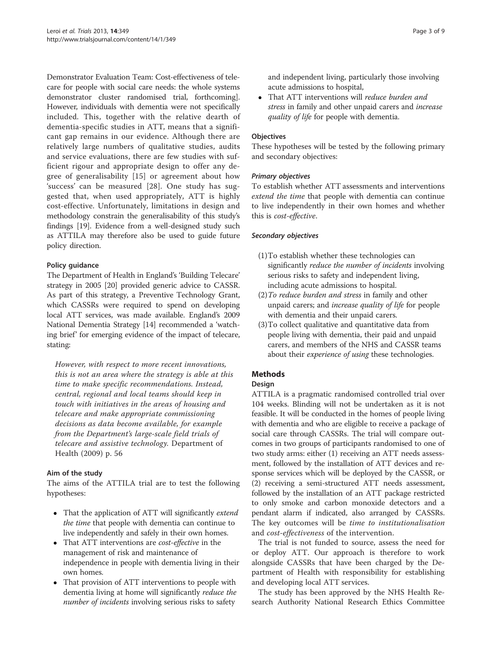Demonstrator Evaluation Team: Cost-effectiveness of telecare for people with social care needs: the whole systems demonstrator cluster randomised trial, forthcoming]. However, individuals with dementia were not specifically included. This, together with the relative dearth of dementia-specific studies in ATT, means that a significant gap remains in our evidence. Although there are relatively large numbers of qualitative studies, audits and service evaluations, there are few studies with sufficient rigour and appropriate design to offer any degree of generalisability [\[15\]](#page-7-0) or agreement about how 'success' can be measured [[28\]](#page-8-0). One study has suggested that, when used appropriately, ATT is highly cost-effective. Unfortunately, limitations in design and methodology constrain the generalisability of this study's findings [\[19\]](#page-7-0). Evidence from a well-designed study such as ATTILA may therefore also be used to guide future policy direction.

## Policy guidance

The Department of Health in England's 'Building Telecare' strategy in 2005 [[20](#page-7-0)] provided generic advice to CASSR. As part of this strategy, a Preventive Technology Grant, which CASSRs were required to spend on developing local ATT services, was made available. England's 2009 National Dementia Strategy [\[14\]](#page-7-0) recommended a 'watching brief' for emerging evidence of the impact of telecare, stating:

However, with respect to more recent innovations, this is not an area where the strategy is able at this time to make specific recommendations. Instead, central, regional and local teams should keep in touch with initiatives in the areas of housing and telecare and make appropriate commissioning decisions as data become available, for example from the Department's large-scale field trials of telecare and assistive technology. Department of Health (2009) p. 56

#### Aim of the study

The aims of the ATTILA trial are to test the following hypotheses:

- That the application of ATT will significantly *extend* the time that people with dementia can continue to live independently and safely in their own homes.
- That ATT interventions are *cost-effective* in the management of risk and maintenance of independence in people with dementia living in their own homes.
- That provision of ATT interventions to people with dementia living at home will significantly reduce the number of incidents involving serious risks to safety

and independent living, particularly those involving acute admissions to hospital,

• That ATT interventions will reduce burden and stress in family and other unpaid carers and increase quality of life for people with dementia.

#### **Objectives**

These hypotheses will be tested by the following primary and secondary objectives:

#### Primary objectives

To establish whether ATT assessments and interventions extend the time that people with dementia can continue to live independently in their own homes and whether this is cost-effective.

#### Secondary objectives

- (1)To establish whether these technologies can significantly *reduce the number of incidents* involving serious risks to safety and independent living, including acute admissions to hospital.
- (2)To reduce burden and stress in family and other unpaid carers; and increase quality of life for people with dementia and their unpaid carers.
- (3)To collect qualitative and quantitative data from people living with dementia, their paid and unpaid carers, and members of the NHS and CASSR teams about their experience of using these technologies.

# **Methods**

#### Design

ATTILA is a pragmatic randomised controlled trial over 104 weeks. Blinding will not be undertaken as it is not feasible. It will be conducted in the homes of people living with dementia and who are eligible to receive a package of social care through CASSRs. The trial will compare outcomes in two groups of participants randomised to one of two study arms: either (1) receiving an ATT needs assessment, followed by the installation of ATT devices and response services which will be deployed by the CASSR, or (2) receiving a semi-structured ATT needs assessment, followed by the installation of an ATT package restricted to only smoke and carbon monoxide detectors and a pendant alarm if indicated, also arranged by CASSRs. The key outcomes will be *time to institutionalisation* and cost-effectiveness of the intervention.

The trial is not funded to source, assess the need for or deploy ATT. Our approach is therefore to work alongside CASSRs that have been charged by the Department of Health with responsibility for establishing and developing local ATT services.

The study has been approved by the NHS Health Research Authority National Research Ethics Committee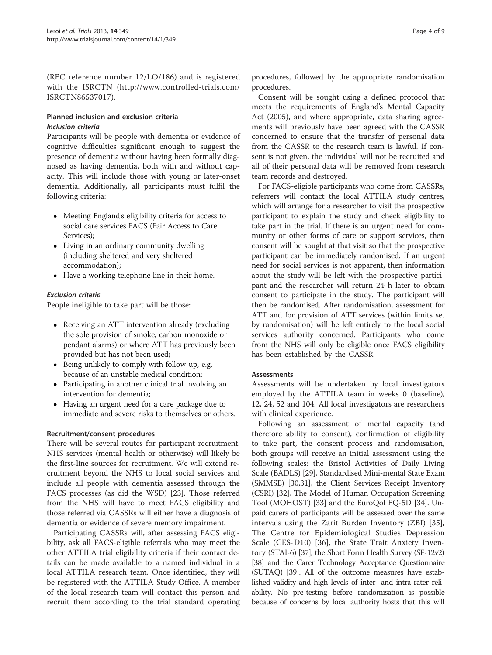(REC reference number 12/LO/186) and is registered with the ISRCTN ([http://www.controlled-trials.com/](http://www.controlled-trials.com/ISRCTN86537017) [ISRCTN86537017\)](http://www.controlled-trials.com/ISRCTN86537017).

#### Planned inclusion and exclusion criteria Inclusion criteria

Participants will be people with dementia or evidence of cognitive difficulties significant enough to suggest the presence of dementia without having been formally diagnosed as having dementia, both with and without capacity. This will include those with young or later-onset dementia. Additionally, all participants must fulfil the following criteria:

- Meeting England's eligibility criteria for access to social care services FACS (Fair Access to Care Services);
- Living in an ordinary community dwelling (including sheltered and very sheltered accommodation);
- Have a working telephone line in their home.

# Exclusion criteria

People ineligible to take part will be those:

- Receiving an ATT intervention already (excluding the sole provision of smoke, carbon monoxide or pendant alarms) or where ATT has previously been provided but has not been used;
- Being unlikely to comply with follow-up, e.g. because of an unstable medical condition;
- Participating in another clinical trial involving an intervention for dementia;
- Having an urgent need for a care package due to immediate and severe risks to themselves or others.

#### Recruitment/consent procedures

There will be several routes for participant recruitment. NHS services (mental health or otherwise) will likely be the first-line sources for recruitment. We will extend recruitment beyond the NHS to local social services and include all people with dementia assessed through the FACS processes (as did the WSD) [[23](#page-7-0)]. Those referred from the NHS will have to meet FACS eligibility and those referred via CASSRs will either have a diagnosis of dementia or evidence of severe memory impairment.

Participating CASSRs will, after assessing FACS eligibility, ask all FACS-eligible referrals who may meet the other ATTILA trial eligibility criteria if their contact details can be made available to a named individual in a local ATTILA research team. Once identified, they will be registered with the ATTILA Study Office. A member of the local research team will contact this person and recruit them according to the trial standard operating procedures, followed by the appropriate randomisation procedures.

Consent will be sought using a defined protocol that meets the requirements of England's Mental Capacity Act (2005), and where appropriate, data sharing agreements will previously have been agreed with the CASSR concerned to ensure that the transfer of personal data from the CASSR to the research team is lawful. If consent is not given, the individual will not be recruited and all of their personal data will be removed from research team records and destroyed.

For FACS-eligible participants who come from CASSRs, referrers will contact the local ATTILA study centres, which will arrange for a researcher to visit the prospective participant to explain the study and check eligibility to take part in the trial. If there is an urgent need for community or other forms of care or support services, then consent will be sought at that visit so that the prospective participant can be immediately randomised. If an urgent need for social services is not apparent, then information about the study will be left with the prospective participant and the researcher will return 24 h later to obtain consent to participate in the study. The participant will then be randomised. After randomisation, assessment for ATT and for provision of ATT services (within limits set by randomisation) will be left entirely to the local social services authority concerned. Participants who come from the NHS will only be eligible once FACS eligibility has been established by the CASSR.

#### **Assessments**

Assessments will be undertaken by local investigators employed by the ATTILA team in weeks 0 (baseline), 12, 24, 52 and 104. All local investigators are researchers with clinical experience.

Following an assessment of mental capacity (and therefore ability to consent), confirmation of eligibility to take part, the consent process and randomisation, both groups will receive an initial assessment using the following scales: the Bristol Activities of Daily Living Scale (BADLS) [[29](#page-8-0)], Standardised Mini-mental State Exam (SMMSE) [[30](#page-8-0),[31](#page-8-0)], the Client Services Receipt Inventory (CSRI) [[32\]](#page-8-0), The Model of Human Occupation Screening Tool (MOHOST) [[33](#page-8-0)] and the EuroQol EQ-5D [[34](#page-8-0)]. Unpaid carers of participants will be assessed over the same intervals using the Zarit Burden Inventory (ZBI) [[35](#page-8-0)], The Centre for Epidemiological Studies Depression Scale (CES-D10) [[36\]](#page-8-0), the State Trait Anxiety Inventory (STAI-6) [\[37\]](#page-8-0), the Short Form Health Survey (SF-12v2) [[38\]](#page-8-0) and the Carer Technology Acceptance Questionnaire (SUTAQ) [\[39](#page-8-0)]. All of the outcome measures have established validity and high levels of inter- and intra-rater reliability. No pre-testing before randomisation is possible because of concerns by local authority hosts that this will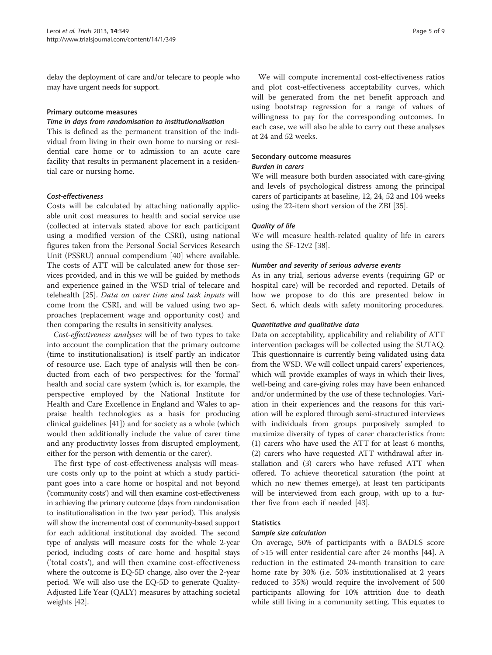delay the deployment of care and/or telecare to people who may have urgent needs for support.

#### Primary outcome measures

#### Time in days from randomisation to institutionalisation

This is defined as the permanent transition of the individual from living in their own home to nursing or residential care home or to admission to an acute care facility that results in permanent placement in a residential care or nursing home.

#### Cost-effectiveness

Costs will be calculated by attaching nationally applicable unit cost measures to health and social service use (collected at intervals stated above for each participant using a modified version of the CSRI), using national figures taken from the Personal Social Services Research Unit (PSSRU) annual compendium [[40\]](#page-8-0) where available. The costs of ATT will be calculated anew for those services provided, and in this we will be guided by methods and experience gained in the WSD trial of telecare and telehealth [\[25](#page-8-0)]. Data on carer time and task inputs will come from the CSRI, and will be valued using two approaches (replacement wage and opportunity cost) and then comparing the results in sensitivity analyses.

Cost-effectiveness analyses will be of two types to take into account the complication that the primary outcome (time to institutionalisation) is itself partly an indicator of resource use. Each type of analysis will then be conducted from each of two perspectives: for the 'formal' health and social care system (which is, for example, the perspective employed by the National Institute for Health and Care Excellence in England and Wales to appraise health technologies as a basis for producing clinical guidelines [\[41](#page-8-0)]) and for society as a whole (which would then additionally include the value of carer time and any productivity losses from disrupted employment, either for the person with dementia or the carer).

The first type of cost-effectiveness analysis will measure costs only up to the point at which a study participant goes into a care home or hospital and not beyond ('community costs') and will then examine cost-effectiveness in achieving the primary outcome (days from randomisation to institutionalisation in the two year period). This analysis will show the incremental cost of community-based support for each additional institutional day avoided. The second type of analysis will measure costs for the whole 2-year period, including costs of care home and hospital stays ('total costs'), and will then examine cost-effectiveness where the outcome is EQ-5D change, also over the 2-year period. We will also use the EQ-5D to generate Quality-Adjusted Life Year (QALY) measures by attaching societal weights [[42](#page-8-0)].

We will compute incremental cost-effectiveness ratios and plot cost-effectiveness acceptability curves, which will be generated from the net benefit approach and using bootstrap regression for a range of values of willingness to pay for the corresponding outcomes. In each case, we will also be able to carry out these analyses at 24 and 52 weeks.

#### Secondary outcome measures

#### Burden in carers

We will measure both burden associated with care-giving and levels of psychological distress among the principal carers of participants at baseline, 12, 24, 52 and 104 weeks using the 22-item short version of the ZBI [\[35\]](#page-8-0).

#### Quality of life

We will measure health-related quality of life in carers using the SF-12v2 [\[38](#page-8-0)].

#### Number and severity of serious adverse events

As in any trial, serious adverse events (requiring GP or hospital care) will be recorded and reported. Details of how we propose to do this are presented below in Sect. 6, which deals with safety monitoring procedures.

#### Quantitative and qualitative data

Data on acceptability, applicability and reliability of ATT intervention packages will be collected using the SUTAQ. This questionnaire is currently being validated using data from the WSD. We will collect unpaid carers' experiences, which will provide examples of ways in which their lives, well-being and care-giving roles may have been enhanced and/or undermined by the use of these technologies. Variation in their experiences and the reasons for this variation will be explored through semi-structured interviews with individuals from groups purposively sampled to maximize diversity of types of carer characteristics from: (1) carers who have used the ATT for at least 6 months, (2) carers who have requested ATT withdrawal after installation and (3) carers who have refused ATT when offered. To achieve theoretical saturation (the point at which no new themes emerge), at least ten participants will be interviewed from each group, with up to a further five from each if needed [[43](#page-8-0)].

#### **Statistics**

#### Sample size calculation

On average, 50% of participants with a BADLS score of >15 will enter residential care after 24 months [\[44](#page-8-0)]. A reduction in the estimated 24-month transition to care home rate by 30% (i.e. 50% institutionalised at 2 years reduced to 35%) would require the involvement of 500 participants allowing for 10% attrition due to death while still living in a community setting. This equates to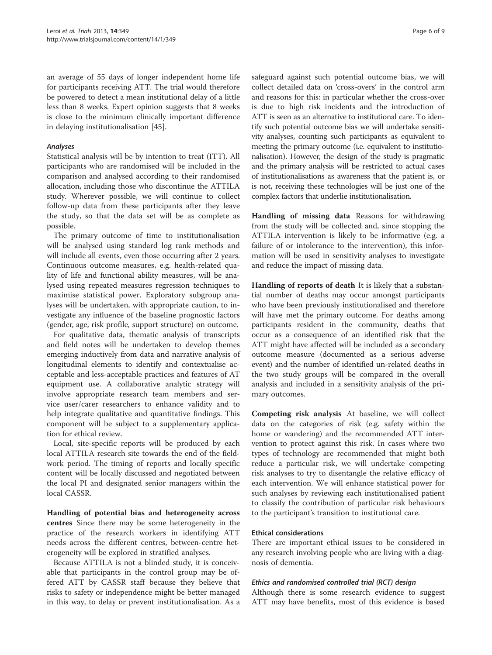an average of 55 days of longer independent home life for participants receiving ATT. The trial would therefore be powered to detect a mean institutional delay of a little less than 8 weeks. Expert opinion suggests that 8 weeks is close to the minimum clinically important difference in delaying institutionalisation [\[45](#page-8-0)].

#### Analyses

Statistical analysis will be by intention to treat (ITT). All participants who are randomised will be included in the comparison and analysed according to their randomised allocation, including those who discontinue the ATTILA study. Wherever possible, we will continue to collect follow-up data from these participants after they leave the study, so that the data set will be as complete as possible.

The primary outcome of time to institutionalisation will be analysed using standard log rank methods and will include all events, even those occurring after 2 years. Continuous outcome measures, e.g. health-related quality of life and functional ability measures, will be analysed using repeated measures regression techniques to maximise statistical power. Exploratory subgroup analyses will be undertaken, with appropriate caution, to investigate any influence of the baseline prognostic factors (gender, age, risk profile, support structure) on outcome.

For qualitative data, thematic analysis of transcripts and field notes will be undertaken to develop themes emerging inductively from data and narrative analysis of longitudinal elements to identify and contextualise acceptable and less-acceptable practices and features of AT equipment use. A collaborative analytic strategy will involve appropriate research team members and service user/carer researchers to enhance validity and to help integrate qualitative and quantitative findings. This component will be subject to a supplementary application for ethical review.

Local, site-specific reports will be produced by each local ATTILA research site towards the end of the fieldwork period. The timing of reports and locally specific content will be locally discussed and negotiated between the local PI and designated senior managers within the local CASSR.

Handling of potential bias and heterogeneity across centres Since there may be some heterogeneity in the practice of the research workers in identifying ATT needs across the different centres, between-centre heterogeneity will be explored in stratified analyses.

Because ATTILA is not a blinded study, it is conceivable that participants in the control group may be offered ATT by CASSR staff because they believe that risks to safety or independence might be better managed in this way, to delay or prevent institutionalisation. As a safeguard against such potential outcome bias, we will collect detailed data on 'cross-overs' in the control arm and reasons for this: in particular whether the cross-over is due to high risk incidents and the introduction of ATT is seen as an alternative to institutional care. To identify such potential outcome bias we will undertake sensitivity analyses, counting such participants as equivalent to meeting the primary outcome (i.e. equivalent to institutionalisation). However, the design of the study is pragmatic and the primary analysis will be restricted to actual cases of institutionalisations as awareness that the patient is, or is not, receiving these technologies will be just one of the complex factors that underlie institutionalisation.

Handling of missing data Reasons for withdrawing from the study will be collected and, since stopping the ATTILA intervention is likely to be informative (e.g. a failure of or intolerance to the intervention), this information will be used in sensitivity analyses to investigate and reduce the impact of missing data.

Handling of reports of death It is likely that a substantial number of deaths may occur amongst participants who have been previously institutionalised and therefore will have met the primary outcome. For deaths among participants resident in the community, deaths that occur as a consequence of an identified risk that the ATT might have affected will be included as a secondary outcome measure (documented as a serious adverse event) and the number of identified un-related deaths in the two study groups will be compared in the overall analysis and included in a sensitivity analysis of the primary outcomes.

Competing risk analysis At baseline, we will collect data on the categories of risk (e.g. safety within the home or wandering) and the recommended ATT intervention to protect against this risk. In cases where two types of technology are recommended that might both reduce a particular risk, we will undertake competing risk analyses to try to disentangle the relative efficacy of each intervention. We will enhance statistical power for such analyses by reviewing each institutionalised patient to classify the contribution of particular risk behaviours to the participant's transition to institutional care.

#### Ethical considerations

There are important ethical issues to be considered in any research involving people who are living with a diagnosis of dementia.

#### Ethics and randomised controlled trial (RCT) design

Although there is some research evidence to suggest ATT may have benefits, most of this evidence is based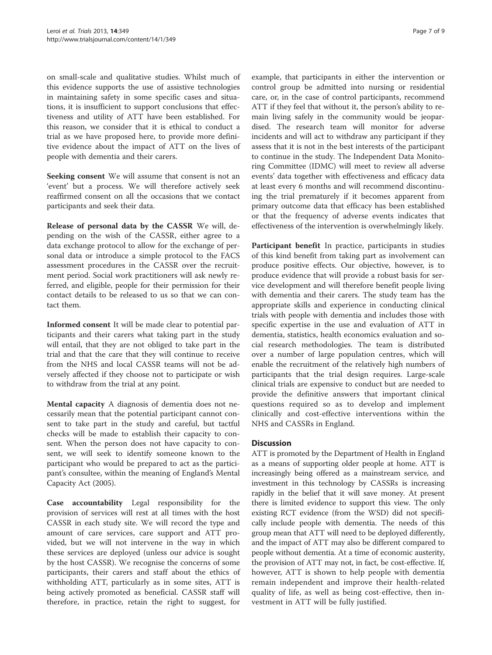on small-scale and qualitative studies. Whilst much of this evidence supports the use of assistive technologies in maintaining safety in some specific cases and situations, it is insufficient to support conclusions that effectiveness and utility of ATT have been established. For this reason, we consider that it is ethical to conduct a trial as we have proposed here, to provide more definitive evidence about the impact of ATT on the lives of people with dementia and their carers.

Seeking consent We will assume that consent is not an 'event' but a process. We will therefore actively seek reaffirmed consent on all the occasions that we contact participants and seek their data.

Release of personal data by the CASSR We will, depending on the wish of the CASSR, either agree to a data exchange protocol to allow for the exchange of personal data or introduce a simple protocol to the FACS assessment procedures in the CASSR over the recruitment period. Social work practitioners will ask newly referred, and eligible, people for their permission for their contact details to be released to us so that we can contact them.

Informed consent It will be made clear to potential participants and their carers what taking part in the study will entail, that they are not obliged to take part in the trial and that the care that they will continue to receive from the NHS and local CASSR teams will not be adversely affected if they choose not to participate or wish to withdraw from the trial at any point.

Mental capacity A diagnosis of dementia does not necessarily mean that the potential participant cannot consent to take part in the study and careful, but tactful checks will be made to establish their capacity to consent. When the person does not have capacity to consent, we will seek to identify someone known to the participant who would be prepared to act as the participant's consultee, within the meaning of England's Mental Capacity Act (2005).

Case accountability Legal responsibility for the provision of services will rest at all times with the host CASSR in each study site. We will record the type and amount of care services, care support and ATT provided, but we will not intervene in the way in which these services are deployed (unless our advice is sought by the host CASSR). We recognise the concerns of some participants, their carers and staff about the ethics of withholding ATT, particularly as in some sites, ATT is being actively promoted as beneficial. CASSR staff will therefore, in practice, retain the right to suggest, for

example, that participants in either the intervention or control group be admitted into nursing or residential care, or, in the case of control participants, recommend ATT if they feel that without it, the person's ability to remain living safely in the community would be jeopardised. The research team will monitor for adverse incidents and will act to withdraw any participant if they assess that it is not in the best interests of the participant to continue in the study. The Independent Data Monitoring Committee (IDMC) will meet to review all adverse events' data together with effectiveness and efficacy data at least every 6 months and will recommend discontinuing the trial prematurely if it becomes apparent from primary outcome data that efficacy has been established or that the frequency of adverse events indicates that effectiveness of the intervention is overwhelmingly likely.

Participant benefit In practice, participants in studies of this kind benefit from taking part as involvement can produce positive effects. Our objective, however, is to produce evidence that will provide a robust basis for service development and will therefore benefit people living with dementia and their carers. The study team has the appropriate skills and experience in conducting clinical trials with people with dementia and includes those with specific expertise in the use and evaluation of ATT in dementia, statistics, health economics evaluation and social research methodologies. The team is distributed over a number of large population centres, which will enable the recruitment of the relatively high numbers of participants that the trial design requires. Large-scale clinical trials are expensive to conduct but are needed to provide the definitive answers that important clinical questions required so as to develop and implement clinically and cost-effective interventions within the NHS and CASSRs in England.

# **Discussion**

ATT is promoted by the Department of Health in England as a means of supporting older people at home. ATT is increasingly being offered as a mainstream service, and investment in this technology by CASSRs is increasing rapidly in the belief that it will save money. At present there is limited evidence to support this view. The only existing RCT evidence (from the WSD) did not specifically include people with dementia. The needs of this group mean that ATT will need to be deployed differently, and the impact of ATT may also be different compared to people without dementia. At a time of economic austerity, the provision of ATT may not, in fact, be cost-effective. If, however, ATT is shown to help people with dementia remain independent and improve their health-related quality of life, as well as being cost-effective, then investment in ATT will be fully justified.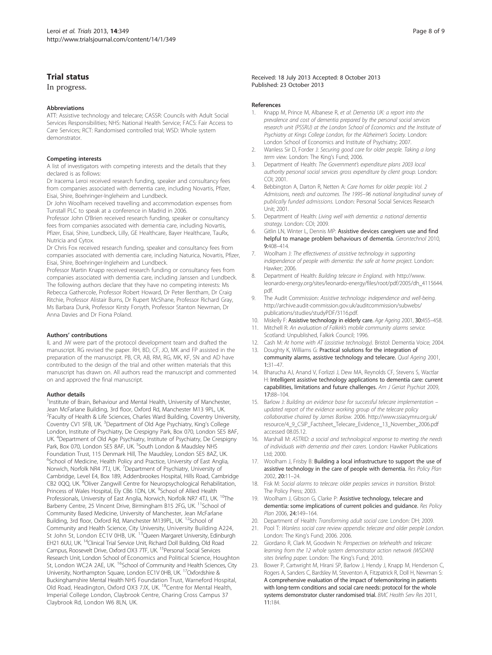# <span id="page-7-0"></span>Trial status

#### In progress.

#### **Abbreviations**

ATT: Assistive technology and telecare; CASSR: Councils with Adult Social Services Responsibilities; NHS: National Health Service; FACS: Fair Access to Care Services; RCT: Randomised controlled trial; WSD: Whole system demonstrator.

#### Competing interests

A list of investigators with competing interests and the details that they declared is as follows:

Dr Iracema Leroi received research funding, speaker and consultancy fees from companies associated with dementia care, including Novartis, Pfizer, Eisai, Shire, Boehringer-Ingleheim and Lundbeck.

Dr John Woolham received travelling and accommodation expenses from Tunstall PLC to speak at a conference in Madrid in 2006.

Professor John O'Brien received research funding, speaker or consultancy fees from companies associated with dementia care, including Novartis, Pfizer, Eisai, Shire, Lundbeck, Lilly, GE Healthcare, Bayer Healthcare, TauRx, Nutricia and Cytox.

Dr Chris Fox received research funding, speaker and consultancy fees from companies associated with dementia care, including Naturica, Novartis, Pfizer, Eisai, Shire, Boehringer-Ingleheim and Lundbeck.

Professor Martin Knapp received research funding or consultancy fees from companies associated with dementia care, including Janssen and Lundbeck. The following authors declare that they have no competing interests: Ms Rebecca Gathercole, Professor Robert Howard, Dr Peter Bentham, Dr Craig Ritchie, Professor Alistair Burns, Dr Rupert McShane, Professor Richard Gray, Ms Barbara Dunk, Professor Kirsty Forsyth, Professor Stanton Newman, Dr Anna Davies and Dr Fiona Poland.

#### Authors' contributions

IL and JW were part of the protocol development team and drafted the manuscript. RG revised the paper. RH, BD, CF, JO, MK and FP assisted in the preparation of the manuscript. PB, CR, AB, RM, RG, MK, KF, SN and AD have contributed to the design of the trial and other written materials that this manuscript has drawn on. All authors read the manuscript and commented on and approved the final manuscript.

#### Author details

<sup>1</sup>Institute of Brain, Behaviour and Mental Health, University of Manchester, Jean McFarlane Building, 3rd floor, Oxford Rd, Manchester M13 9PL, UK. <sup>2</sup>Faculty of Health & Life Sciences, Charles Ward Building, Coventry University, Coventry CV1 5FB, UK.<sup>3</sup> Department of Old Age Psychiatry, King's College London, Institute of Psychiatry, De Crespigny Park, Box 070, London SE5 8AF, UK. <sup>4</sup>Department of Old Age Psychiatry, Institute of Psychiatry, De Crespigny Park, Box 070, London SE5 8AF, UK. <sup>5</sup>South London & Maudsley NHS Foundation Trust, 115 Denmark Hill, The Maudsley, London SE5 8AZ, UK. <sup>6</sup>School of Medicine, Health Policy and Practice, University of East Anglia, Norwich, Norfolk NR4 7TJ, UK. <sup>7</sup>Department of Psychiatry, University of Cambridge, Level E4, Box 189, Addenbrookes Hospital, Hills Road, Cambridge CB2 0QQ, UK. <sup>8</sup>Oliver Zangwill Centre for Neuropsychological Rehabilitation, Princess of Wales Hospital, Ely CB6 1DN, UK. <sup>9</sup>School of Allied Health Professionals, University of East Anglia, Norwich, Norfolk NR7 4TJ, UK. <sup>10</sup>The Barberry Centre, 25 Vincent Drive, Birmingham B15 2FG, UK. <sup>11</sup>School of Community Based Medicine, University of Manchester, Jean McFarlane Building, 3rd floor, Oxford Rd, Manchester M139PL, UK. <sup>12</sup>School of Community and Health Science, City University, University Building A224,<br>St John St, London EC1V 0HB, UK. <sup>13</sup>Queen Margaret University, Edinburgh EH21 6UU, UK. 14Clinical Trial Service Unit, Richard Doll Building, Old Road Campus, Roosevelt Drive, Oxford OX3 7TF, UK. 15Personal Social Services Research Unit, London School of Economics and Political Science, Houghton St, London WC2A 2AE, UK. <sup>16</sup>School of Community and Health Sciences, City University, Northampton Square, London EC1V 0HB, UK. 17Oxfordshire & Buckinghamshire Mental Health NHS Foundation Trust, Warneford Hospital, Old Road, Headington, Oxford OX3 7JX, UK. 18Centre for Mental Health, Imperial College London, Claybrook Centre, Charing Cross Campus 37 Claybrook Rd, London W6 8LN, UK.

#### References

- 1. Knapp M, Prince M, Albanese R, et al: Dementia UK: a report into the prevalence and cost of dementia prepared by the personal social services research unit (PSSRU) at the London School of Economics and the Institute of Psychiatry at Kings College London, for the Alzheimer's Society. London: London School of Economics and Institute of Psychiatry; 2007.
- 2. Wanless Sir D, Forder J: Securing good care for older people. Taking a long term view. London: The King's Fund; 2006.
- 3. Department of Health: The Government's expenditure plans 2003 local authority personal social services gross expenditure by client group. London: COI; 2001.
- 4. Bebbington A, Darton R, Netten A: Care homes for older people: Vol. 2 Admissions, needs and outcomes. The 1995–96 national longitudinal survey of publically funded admissions. London: Personal Social Services Research Unit; 2001.
- 5. Department of Health: Living well with dementia: a national dementia strategy. London: COI; 2009.
- Gitlin LN, Winter L, Dennis MP: Assistive devices caregivers use and find helpful to manage problem behaviours of dementia. Gerontechnol 2010, 9:408–414.
- 7. Woolham J: The effectiveness of assistive technology in supporting independence of people with dementia: the safe at home project. London: Hawker; 2006.
- 8. Department of Health: Building telecare in England. [with http://www.](with http://www.leonardo-energy.org/sites/leonardo-energy/files/root/pdf/2005/dh_4115644.pdf) [leonardo-energy.org/sites/leonardo-energy/files/root/pdf/2005/dh\\_4115644.](with http://www.leonardo-energy.org/sites/leonardo-energy/files/root/pdf/2005/dh_4115644.pdf) [pdf](with http://www.leonardo-energy.org/sites/leonardo-energy/files/root/pdf/2005/dh_4115644.pdf).
- 9. The Audit Commission: Assistive technology: independence and well-being. [http://archive.audit-commission.gov.uk/auditcommission/subwebs/](http://archive.audit-commission.gov.uk/auditcommission/subwebs/publications/studies/studyPDF/3116.pdf) [publications/studies/studyPDF/3116.pdf.](http://archive.audit-commission.gov.uk/auditcommission/subwebs/publications/studies/studyPDF/3116.pdf)
- 10. Miskelly F: Assistive technology in elderly care. Age Ageing 2001, 30:455-458.
- 11. Mitchell R: An evaluation of Falkirk's mobile community alarms service. Scotland: Unpublished, Falkirk Council; 1996.
- 12. Cash M: At home with AT (assistive technology). Bristol: Dementia Voice; 2004.
- 13. Doughty K, Williams G: Practical solutions for the integration of community alarms, assistive technology and telecare. Qual Ageing 2001, 1:31–47.
- 14. Bharucha AJ, Anand V, Forlizzi J, Dew MA, Reynolds CF, Stevens S, Wactlar H: Intelligent assistive technology applications to dementia care: current capabilities, limitations and future challenges. Am J Geriat Psychiat 2009, 17:88–104.
- 15. Barlow J: Building an evidence base for successful telecare implementation updated report of the evidence working group of the telecare policy collaborative chaired by James Barlow. 2006. [http://www.ssiacymru.org.uk/](http://www.ssiacymru.org.uk/resource/4_9_CSIP_Factsheet_Telecare_Evidence_13_November_2006.pdf) [resource/4\\_9\\_CSIP\\_Factsheet\\_Telecare\\_Evidence\\_13\\_November\\_2006.pdf](http://www.ssiacymru.org.uk/resource/4_9_CSIP_Factsheet_Telecare_Evidence_13_November_2006.pdf) accessed 08.05.12.
- 16. Marshall M: ASTRID: a social and technological response to meeting the needs of individuals with dementia and their carers. London: Hawker Publications Ltd; 2000.
- 17. Woolham J, Frisby B: Building a local infrastructure to support the use of assistive technology in the care of people with dementia. Res Policy Plan 2002, 20:11–24.
- 18. Fisk M: Social alarms to telecare: older peoples services in transition. Bristol: The Policy Press; 2003.
- 19. Woolham J, Gibson G, Clarke P: Assistive technology, telecare and dementia: some implications of current policies and guidance. Res Policy Plan 2006, 24:149–164.
- 20. Department of Health: Transforming adult social care. London: DH; 2009.
- 21. Pool T: Wanless social care review appendix: telecare and older people London. London: The King's Fund; 2006. 2006.
- 22. Giordano R, Clark M, Goodwin N: Perspectives on telehealth and telecare: learning from the 12 whole system demonstrator action network (WSDAN) sites briefing paper. London: The King's Fund; 2010.
- 23. Bower P, Cartwright M, Hirani SP, Barlow J, Hendy J, Knapp M, Henderson C, Rogers A, Sanders C, Bardsley M, Steventon A, Fitzpatrick R, Doll H, Newman S: A comprehensive evaluation of the impact of telemonitoring in patients with long-term conditions and social care needs: protocol for the whole systems demonstrator cluster randomised trial. BMC Health Serv Res 2011, 11:184.